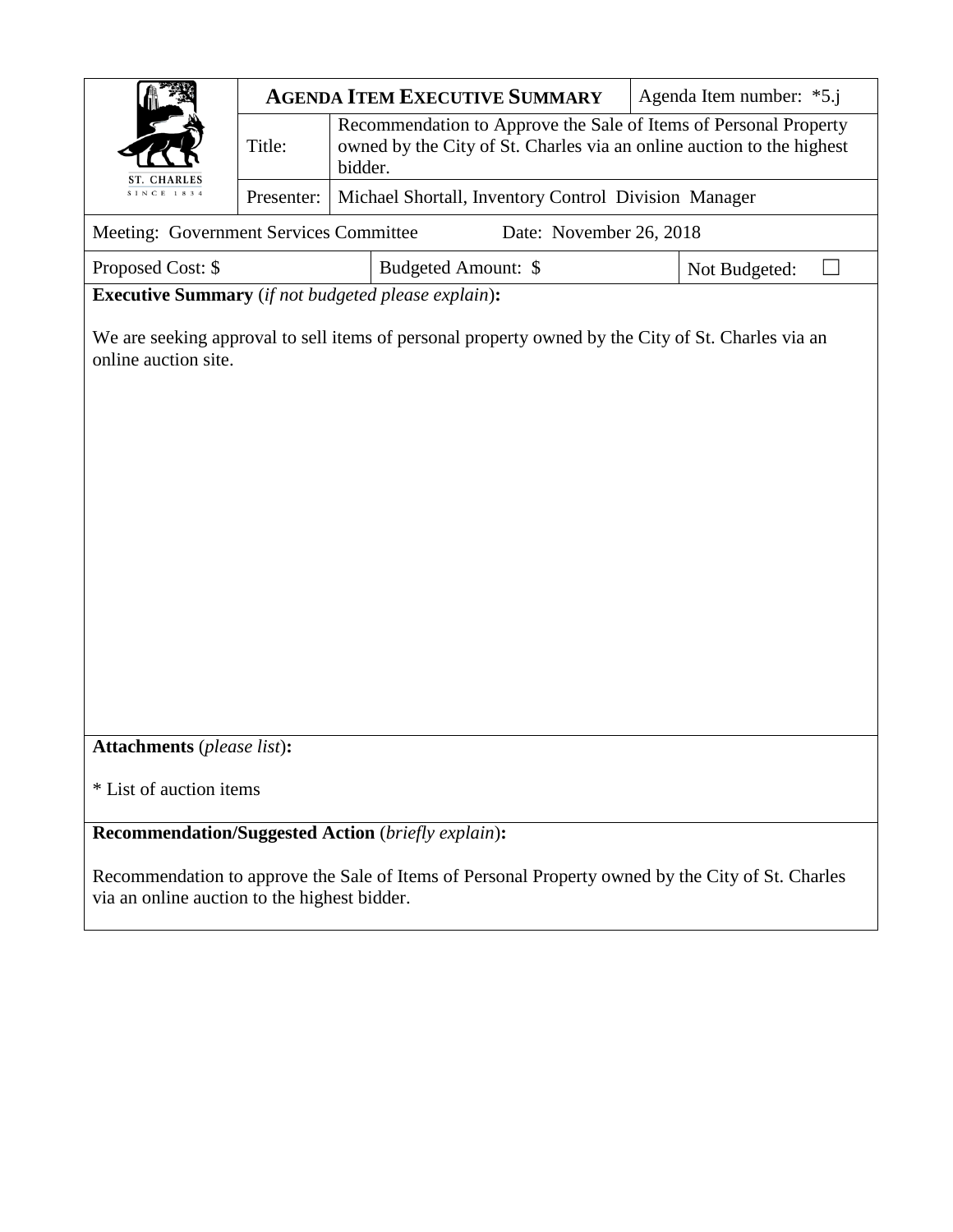|                                                            |            |                                                                                                                                                      | <b>AGENDA ITEM EXECUTIVE SUMMARY</b>                                                               |  |               |
|------------------------------------------------------------|------------|------------------------------------------------------------------------------------------------------------------------------------------------------|----------------------------------------------------------------------------------------------------|--|---------------|
|                                                            | Title:     | Recommendation to Approve the Sale of Items of Personal Property<br>owned by the City of St. Charles via an online auction to the highest<br>bidder. |                                                                                                    |  |               |
| <b>ST. CHARLES</b><br>SINCE 1834                           | Presenter: | Michael Shortall, Inventory Control Division Manager                                                                                                 |                                                                                                    |  |               |
| Meeting: Government Services Committee                     |            |                                                                                                                                                      | Date: November 26, 2018                                                                            |  |               |
| Proposed Cost: \$                                          |            |                                                                                                                                                      | Budgeted Amount: \$                                                                                |  | Not Budgeted: |
| <b>Executive Summary</b> (if not budgeted please explain): |            |                                                                                                                                                      |                                                                                                    |  |               |
| online auction site.                                       |            |                                                                                                                                                      | We are seeking approval to sell items of personal property owned by the City of St. Charles via an |  |               |
|                                                            |            |                                                                                                                                                      |                                                                                                    |  |               |
|                                                            |            |                                                                                                                                                      |                                                                                                    |  |               |
|                                                            |            |                                                                                                                                                      |                                                                                                    |  |               |
|                                                            |            |                                                                                                                                                      |                                                                                                    |  |               |
|                                                            |            |                                                                                                                                                      |                                                                                                    |  |               |
|                                                            |            |                                                                                                                                                      |                                                                                                    |  |               |
|                                                            |            |                                                                                                                                                      |                                                                                                    |  |               |
|                                                            |            |                                                                                                                                                      |                                                                                                    |  |               |
|                                                            |            |                                                                                                                                                      |                                                                                                    |  |               |
| <b>Attachments</b> (please list):                          |            |                                                                                                                                                      |                                                                                                    |  |               |
| * List of auction items                                    |            |                                                                                                                                                      |                                                                                                    |  |               |
| <b>Recommendation/Suggested Action (briefly explain):</b>  |            |                                                                                                                                                      |                                                                                                    |  |               |
| via an online auction to the highest bidder.               |            |                                                                                                                                                      | Recommendation to approve the Sale of Items of Personal Property owned by the City of St. Charles  |  |               |